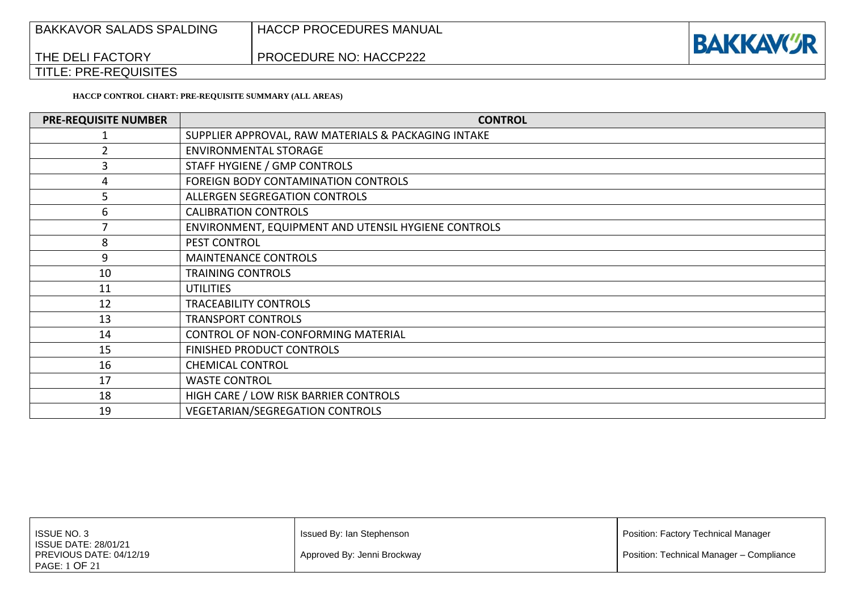| <b>BAKKAVOR SALADS SPALDING</b> | ' HACCP PROCEDURES MANUAL | <b>BAKKAVCR</b> |
|---------------------------------|---------------------------|-----------------|
| THE DELI FACTORY                | PROCEDURE NO: HACCP222    |                 |
| <b>TITLE: PRE-REQUISITES</b>    |                           |                 |

**HACCP CONTROL CHART: PRE-REQUISITE SUMMARY (ALL AREAS)**

| <b>PRE-REQUISITE NUMBER</b> | <b>CONTROL</b>                                      |
|-----------------------------|-----------------------------------------------------|
|                             | SUPPLIER APPROVAL, RAW MATERIALS & PACKAGING INTAKE |
|                             | <b>ENVIRONMENTAL STORAGE</b>                        |
|                             | STAFF HYGIENE / GMP CONTROLS                        |
| 4                           | FOREIGN BODY CONTAMINATION CONTROLS                 |
| 5                           | ALLERGEN SEGREGATION CONTROLS                       |
| 6                           | <b>CALIBRATION CONTROLS</b>                         |
|                             | ENVIRONMENT, EQUIPMENT AND UTENSIL HYGIENE CONTROLS |
| 8                           | PEST CONTROL                                        |
| 9                           | <b>MAINTENANCE CONTROLS</b>                         |
| 10                          | <b>TRAINING CONTROLS</b>                            |
| 11                          | <b>UTILITIES</b>                                    |
| 12                          | <b>TRACEABILITY CONTROLS</b>                        |
| 13                          | <b>TRANSPORT CONTROLS</b>                           |
| 14                          | CONTROL OF NON-CONFORMING MATERIAL                  |
| 15                          | FINISHED PRODUCT CONTROLS                           |
| 16                          | <b>CHEMICAL CONTROL</b>                             |
| 17                          | <b>WASTE CONTROL</b>                                |
| 18                          | HIGH CARE / LOW RISK BARRIER CONTROLS               |
| 19                          | <b>VEGETARIAN/SEGREGATION CONTROLS</b>              |

| <b>ISSUE NO. 3</b>                                                      | Issued By: Ian Stephenson   | Position: Factory Technical Manager      |
|-------------------------------------------------------------------------|-----------------------------|------------------------------------------|
| <b>ISSUE DATE: 28/01/21</b><br>PREVIOUS DATE: 04/12/19<br>PAGE: 1 OF 21 | Approved By: Jenni Brockway | Position: Technical Manager - Compliance |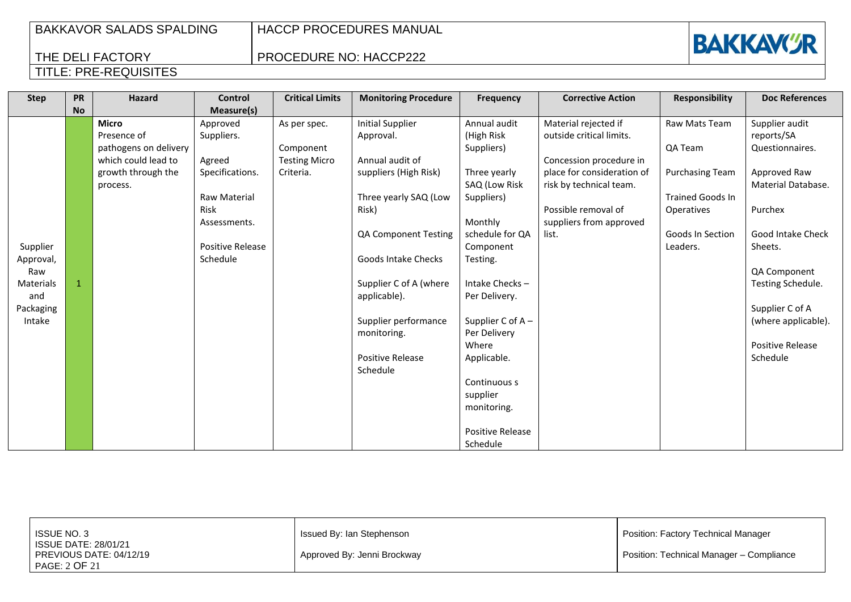HACCP PROCEDURES MANUAL

PROCEDURE NO: HACCP222



| <b>Step</b> | <b>PR</b><br><b>No</b> | Hazard                | <b>Control</b><br>Measure(s) | <b>Critical Limits</b> | <b>Monitoring Procedure</b> | <b>Frequency</b>        | <b>Corrective Action</b>   | <b>Responsibility</b>   | <b>Doc References</b> |
|-------------|------------------------|-----------------------|------------------------------|------------------------|-----------------------------|-------------------------|----------------------------|-------------------------|-----------------------|
|             |                        | <b>Micro</b>          | Approved                     | As per spec.           | <b>Initial Supplier</b>     | Annual audit            | Material rejected if       | Raw Mats Team           | Supplier audit        |
|             |                        | Presence of           | Suppliers.                   |                        | Approval.                   | (High Risk              | outside critical limits.   |                         | reports/SA            |
|             |                        | pathogens on delivery |                              | Component              |                             | Suppliers)              |                            | QA Team                 | Questionnaires.       |
|             |                        | which could lead to   | Agreed                       | <b>Testing Micro</b>   | Annual audit of             |                         | Concession procedure in    |                         |                       |
|             |                        | growth through the    | Specifications.              | Criteria.              | suppliers (High Risk)       | Three yearly            | place for consideration of | <b>Purchasing Team</b>  | Approved Raw          |
|             |                        | process.              |                              |                        |                             | SAQ (Low Risk           | risk by technical team.    |                         | Material Database.    |
|             |                        |                       | Raw Material                 |                        | Three yearly SAQ (Low       | Suppliers)              |                            | <b>Trained Goods In</b> |                       |
|             |                        |                       | Risk                         |                        | Risk)                       |                         | Possible removal of        | Operatives              | Purchex               |
|             |                        |                       | Assessments.                 |                        |                             | Monthly                 | suppliers from approved    |                         |                       |
|             |                        |                       |                              |                        | QA Component Testing        | schedule for QA         | list.                      | Goods In Section        | Good Intake Check     |
| Supplier    |                        |                       | Positive Release             |                        |                             | Component               |                            | Leaders.                | Sheets.               |
| Approval,   |                        |                       | Schedule                     |                        | Goods Intake Checks         | Testing.                |                            |                         |                       |
| Raw         |                        |                       |                              |                        |                             |                         |                            |                         | QA Component          |
| Materials   |                        |                       |                              |                        | Supplier C of A (where      | Intake Checks-          |                            |                         | Testing Schedule.     |
| and         |                        |                       |                              |                        | applicable).                | Per Delivery.           |                            |                         |                       |
| Packaging   |                        |                       |                              |                        |                             |                         |                            |                         | Supplier C of A       |
| Intake      |                        |                       |                              |                        | Supplier performance        | Supplier C of A-        |                            |                         | (where applicable).   |
|             |                        |                       |                              |                        | monitoring.                 | Per Delivery            |                            |                         |                       |
|             |                        |                       |                              |                        |                             | Where                   |                            |                         | Positive Release      |
|             |                        |                       |                              |                        | <b>Positive Release</b>     | Applicable.             |                            |                         | Schedule              |
|             |                        |                       |                              |                        | Schedule                    |                         |                            |                         |                       |
|             |                        |                       |                              |                        |                             | Continuous s            |                            |                         |                       |
|             |                        |                       |                              |                        |                             | supplier                |                            |                         |                       |
|             |                        |                       |                              |                        |                             | monitoring.             |                            |                         |                       |
|             |                        |                       |                              |                        |                             | <b>Positive Release</b> |                            |                         |                       |
|             |                        |                       |                              |                        |                             | Schedule                |                            |                         |                       |

| ISSUE NO. 3                                                             | Issued By: Ian Stephenson   | Position: Factory Technical Manager      |
|-------------------------------------------------------------------------|-----------------------------|------------------------------------------|
| <b>ISSUE DATE: 28/01/21</b><br>PREVIOUS DATE: 04/12/19<br>PAGE: 2 OF 21 | Approved By: Jenni Brockway | Position: Technical Manager - Compliance |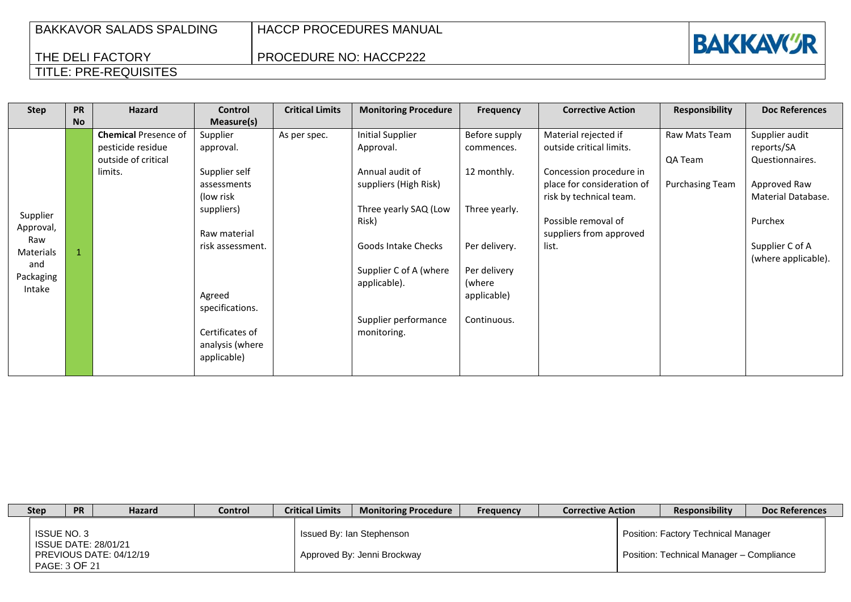| <b>BAKKAVOR SALADS SPALDING</b> |  |
|---------------------------------|--|
| THE DELI FACTORY                |  |
| TITLE: PRE-REQUISITES           |  |

## PROCEDURE NO: HACCP222



### **Step PR No Hazard Control Measure(s) Critical Limits** | Monitoring Procedure | Frequency | Corrective Action | Responsibility | Doc References Supplier Approval, Raw Materials and Packaging Intake 1 **Chemical** Presence of pesticide residue outside of critical limits. Supplier approval. Supplier self assessments (low risk suppliers) Raw material risk assessment. Agreed specifications. Certificates of analysis (where applicable) As per spec. | Initial Supplier Approval. Annual audit of suppliers (High Risk) Three yearly SAQ (Low Risk) Goods Intake Checks Supplier C of A (where applicable). Supplier performance monitoring. Before supply commences. 12 monthly. Three yearly. Per delivery. Per delivery (where applicable) Continuous. Material rejected if outside critical limits. Concession procedure in place for consideration of risk by technical team. Possible removal of suppliers from approved list. Raw Mats Team QA Team Purchasing Team Supplier audit reports/SA Questionnaires. Approved Raw Material Database. Purchex Supplier C of A (where applicable).

| <b>Step</b>                  | <b>PR</b> | Hazard                                                 | Control | <b>Critical Limits</b> | <b>Monitoring Procedure</b>                              | <b>Frequency</b> | <b>Corrective Action</b> | <b>Responsibility</b>                                                           | Doc References |
|------------------------------|-----------|--------------------------------------------------------|---------|------------------------|----------------------------------------------------------|------------------|--------------------------|---------------------------------------------------------------------------------|----------------|
| ISSUE NO. 3<br>PAGE: 3 OF 21 |           | <b>ISSUE DATE: 28/01/21</b><br>PREVIOUS DATE: 04/12/19 |         |                        | Issued By: Ian Stephenson<br>Approved By: Jenni Brockway |                  |                          | Position: Factory Technical Manager<br>Position: Technical Manager - Compliance |                |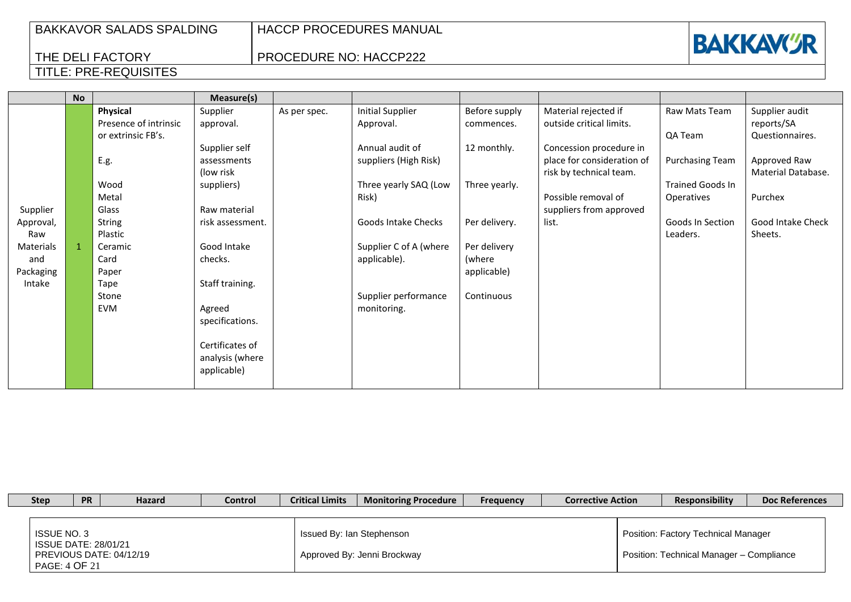PROCEDURE NO: HACCP222

|           | <b>No</b> |                       | Measure(s)       |              |                         |               |                            |                         |                    |
|-----------|-----------|-----------------------|------------------|--------------|-------------------------|---------------|----------------------------|-------------------------|--------------------|
|           |           | Physical              | Supplier         | As per spec. | <b>Initial Supplier</b> | Before supply | Material rejected if       | Raw Mats Team           | Supplier audit     |
|           |           | Presence of intrinsic | approval.        |              | Approval.               | commences.    | outside critical limits.   |                         | reports/SA         |
|           |           | or extrinsic FB's.    |                  |              |                         |               |                            | QA Team                 | Questionnaires.    |
|           |           |                       | Supplier self    |              | Annual audit of         | 12 monthly.   | Concession procedure in    |                         |                    |
|           |           | E.g.                  | assessments      |              | suppliers (High Risk)   |               | place for consideration of | <b>Purchasing Team</b>  | Approved Raw       |
|           |           |                       | (low risk)       |              |                         |               | risk by technical team.    |                         | Material Database. |
|           |           | Wood                  | suppliers)       |              | Three yearly SAQ (Low   | Three yearly. |                            | <b>Trained Goods In</b> |                    |
|           |           | Metal                 |                  |              | Risk)                   |               | Possible removal of        | Operatives              | Purchex            |
| Supplier  |           | Glass                 | Raw material     |              |                         |               | suppliers from approved    |                         |                    |
| Approval, |           | <b>String</b>         | risk assessment. |              | Goods Intake Checks     | Per delivery. | list.                      | Goods In Section        | Good Intake Check  |
| Raw       |           | Plastic               |                  |              |                         |               |                            | Leaders.                | Sheets.            |
| Materials |           | Ceramic               | Good Intake      |              | Supplier C of A (where  | Per delivery  |                            |                         |                    |
| and       |           | Card                  | checks.          |              | applicable).            | (where        |                            |                         |                    |
| Packaging |           | Paper                 |                  |              |                         | applicable)   |                            |                         |                    |
| Intake    |           | Tape                  | Staff training.  |              |                         |               |                            |                         |                    |
|           |           | Stone                 |                  |              | Supplier performance    | Continuous    |                            |                         |                    |
|           |           | EVM                   | Agreed           |              | monitoring.             |               |                            |                         |                    |
|           |           |                       | specifications.  |              |                         |               |                            |                         |                    |
|           |           |                       |                  |              |                         |               |                            |                         |                    |
|           |           |                       | Certificates of  |              |                         |               |                            |                         |                    |
|           |           |                       | analysis (where  |              |                         |               |                            |                         |                    |
|           |           |                       | applicable)      |              |                         |               |                            |                         |                    |

| <b>Step</b>                                                 | <b>PR</b> | <b>Hazard</b>           | <b>Control</b> | <b>Critical Limits</b>    | <b>Monitoring Procedure</b> | <b>Frequency</b> | <b>Corrective Action</b> | Responsibility                                                                         | <b>Doc References</b> |
|-------------------------------------------------------------|-----------|-------------------------|----------------|---------------------------|-----------------------------|------------------|--------------------------|----------------------------------------------------------------------------------------|-----------------------|
| ISSUE NO. 3<br><b>ISSUE DATE: 28/01/21</b><br>PAGE: 4 OF 21 |           | PREVIOUS DATE: 04/12/19 |                | Issued By: Ian Stephenson | Approved By: Jenni Brockway |                  |                          | <b>Position: Factory Technical Manager</b><br>Position: Technical Manager - Compliance |                       |

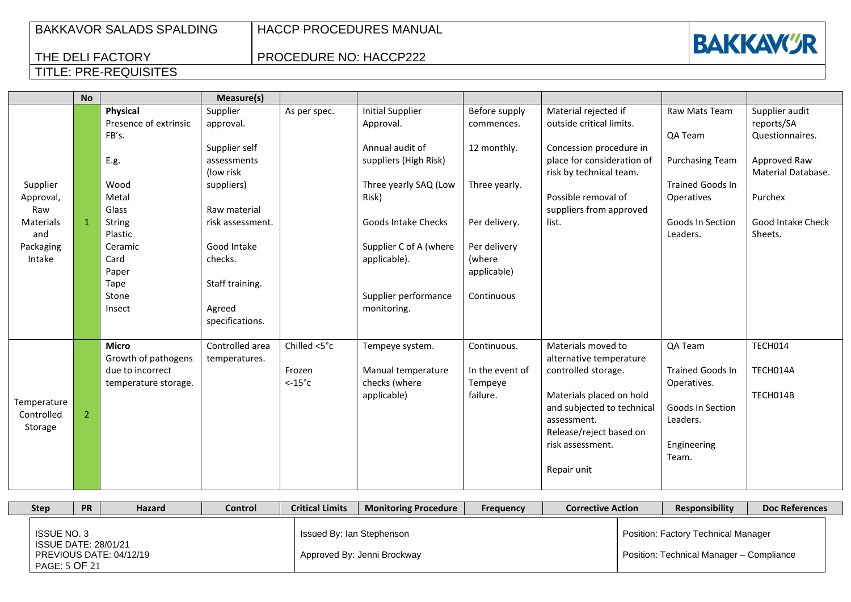PROCEDURE NO: HACCP222



|             | <b>No</b>      |                       | Measure(s)       |                  |                         |                 |                            |                         |                    |
|-------------|----------------|-----------------------|------------------|------------------|-------------------------|-----------------|----------------------------|-------------------------|--------------------|
|             |                | Physical              | Supplier         | As per spec.     | <b>Initial Supplier</b> | Before supply   | Material rejected if       | Raw Mats Team           | Supplier audit     |
|             |                | Presence of extrinsic | approval.        |                  | Approval.               | commences.      | outside critical limits.   |                         | reports/SA         |
|             |                | FB's.                 |                  |                  |                         |                 |                            | QA Team                 | Questionnaires.    |
|             |                |                       | Supplier self    |                  | Annual audit of         | 12 monthly.     | Concession procedure in    |                         |                    |
|             |                | E.g.                  | assessments      |                  | suppliers (High Risk)   |                 | place for consideration of | <b>Purchasing Team</b>  | Approved Raw       |
|             |                |                       | (low risk        |                  |                         |                 | risk by technical team.    |                         | Material Database. |
| Supplier    |                | Wood                  | suppliers)       |                  | Three yearly SAQ (Low   | Three yearly.   |                            | <b>Trained Goods In</b> |                    |
| Approval,   |                | Metal                 |                  |                  | Risk)                   |                 | Possible removal of        | Operatives              | Purchex            |
| Raw         |                | Glass                 | Raw material     |                  |                         |                 | suppliers from approved    |                         |                    |
| Materials   | -1             | <b>String</b>         | risk assessment. |                  | Goods Intake Checks     | Per delivery.   | list.                      | <b>Goods In Section</b> | Good Intake Check  |
| and         |                | Plastic               |                  |                  |                         |                 |                            | Leaders.                | Sheets.            |
| Packaging   |                | Ceramic               | Good Intake      |                  | Supplier C of A (where  | Per delivery    |                            |                         |                    |
| Intake      |                | Card                  | checks.          |                  | applicable).            | (where          |                            |                         |                    |
|             |                | Paper                 |                  |                  |                         | applicable)     |                            |                         |                    |
|             |                | Tape                  | Staff training.  |                  |                         |                 |                            |                         |                    |
|             |                | Stone                 |                  |                  | Supplier performance    | Continuous      |                            |                         |                    |
|             |                | Insect                | Agreed           |                  | monitoring.             |                 |                            |                         |                    |
|             |                |                       | specifications.  |                  |                         |                 |                            |                         |                    |
|             |                |                       |                  |                  |                         |                 |                            |                         |                    |
|             |                | <b>Micro</b>          | Controlled area  | Chilled <5°c     | Tempeye system.         | Continuous.     | Materials moved to         | QA Team                 | TECH014            |
|             |                | Growth of pathogens   | temperatures.    |                  |                         |                 | alternative temperature    |                         |                    |
|             |                | due to incorrect      |                  | Frozen           | Manual temperature      | In the event of | controlled storage.        | <b>Trained Goods In</b> | TECH014A           |
|             |                | temperature storage.  |                  | $< -15^{\circ}c$ | checks (where           | Tempeye         |                            | Operatives.             |                    |
| Temperature |                |                       |                  |                  | applicable)             | failure.        | Materials placed on hold   |                         | TECH014B           |
| Controlled  | $\overline{2}$ |                       |                  |                  |                         |                 | and subjected to technical | Goods In Section        |                    |
| Storage     |                |                       |                  |                  |                         |                 | assessment.                | Leaders.                |                    |
|             |                |                       |                  |                  |                         |                 | Release/reject based on    |                         |                    |
|             |                |                       |                  |                  |                         |                 | risk assessment.           | Engineering             |                    |
|             |                |                       |                  |                  |                         |                 |                            | Team.                   |                    |
|             |                |                       |                  |                  |                         |                 | Repair unit                |                         |                    |
|             |                |                       |                  |                  |                         |                 |                            |                         |                    |

| <b>Step</b>        | <b>PR</b>                                    | <b>Hazard</b>           | Control | <b>Critical Limits</b>    | <b>Monitoring Procedure</b> | <b>Frequency</b> | <b>Corrective Action</b> | <b>Responsibility</b>                                                           | <b>Doc References</b> |
|--------------------|----------------------------------------------|-------------------------|---------|---------------------------|-----------------------------|------------------|--------------------------|---------------------------------------------------------------------------------|-----------------------|
| <b>ISSUE NO. 3</b> | <b>ISSUE DATE: 28/01/21</b><br>PAGE: 5 OF 21 | PREVIOUS DATE: 04/12/19 |         | Issued By: Ian Stephenson | Approved By: Jenni Brockway |                  |                          | Position: Factory Technical Manager<br>Position: Technical Manager - Compliance |                       |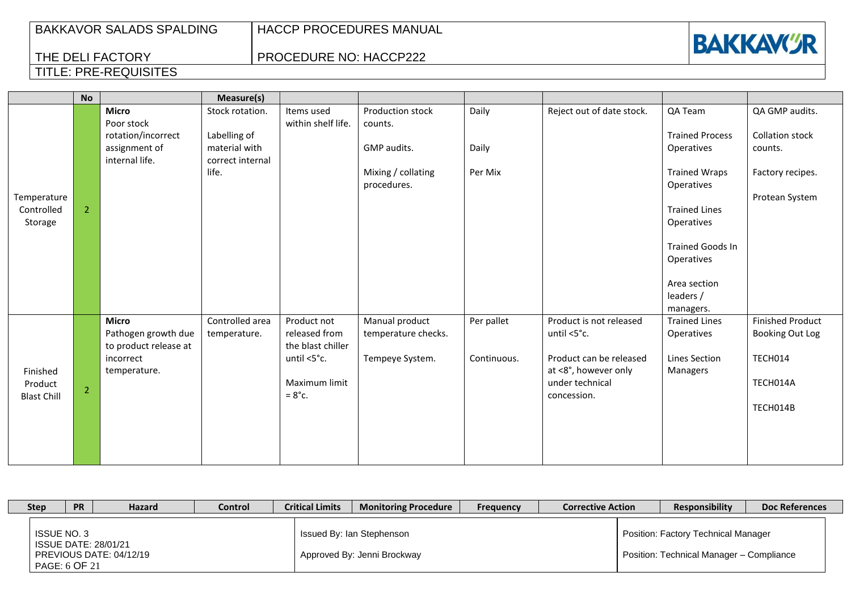# **BAKKAVCR**

## THE DELI FACTORY TITLE: PRE-REQUISITES

## PROCEDURE NO: HACCP222

|                                      | <b>No</b>      |                                                              | Measure(s)                                        |                                                   |                                       |             |                                                  |                                        |                                            |
|--------------------------------------|----------------|--------------------------------------------------------------|---------------------------------------------------|---------------------------------------------------|---------------------------------------|-------------|--------------------------------------------------|----------------------------------------|--------------------------------------------|
|                                      |                | <b>Micro</b><br>Poor stock                                   | Stock rotation.                                   | Items used<br>within shelf life.                  | Production stock<br>counts.           | Daily       | Reject out of date stock.                        | QA Team                                | QA GMP audits.                             |
|                                      |                | rotation/incorrect<br>assignment of<br>internal life.        | Labelling of<br>material with<br>correct internal |                                                   | GMP audits.                           | Daily       |                                                  | <b>Trained Process</b><br>Operatives   | <b>Collation stock</b><br>counts.          |
|                                      |                |                                                              | life.                                             |                                                   | Mixing / collating<br>procedures.     | Per Mix     |                                                  | <b>Trained Wraps</b><br>Operatives     | Factory recipes.                           |
| Temperature<br>Controlled<br>Storage | $\overline{2}$ |                                                              |                                                   |                                                   |                                       |             |                                                  | <b>Trained Lines</b><br>Operatives     | Protean System                             |
|                                      |                |                                                              |                                                   |                                                   |                                       |             |                                                  | <b>Trained Goods In</b><br>Operatives  |                                            |
|                                      |                |                                                              |                                                   |                                                   |                                       |             |                                                  | Area section<br>leaders /<br>managers. |                                            |
|                                      |                | <b>Micro</b><br>Pathogen growth due<br>to product release at | Controlled area<br>temperature.                   | Product not<br>released from<br>the blast chiller | Manual product<br>temperature checks. | Per pallet  | Product is not released<br>until $<5^{\circ}$ c. | <b>Trained Lines</b><br>Operatives     | <b>Finished Product</b><br>Booking Out Log |
| Finished                             |                | incorrect<br>temperature.                                    |                                                   | until <5°c.                                       | Tempeye System.                       | Continuous. | Product can be released<br>at <8°, however only  | Lines Section<br>Managers              | TECH014                                    |
| Product<br><b>Blast Chill</b>        | $\overline{2}$ |                                                              |                                                   | Maximum limit<br>$=8^{\circ}$ c.                  |                                       |             | under technical<br>concession.                   |                                        | TECH014A<br>TECH014B                       |
|                                      |                |                                                              |                                                   |                                                   |                                       |             |                                                  |                                        |                                            |
|                                      |                |                                                              |                                                   |                                                   |                                       |             |                                                  |                                        |                                            |

| <b>Step</b> | <b>PR</b>                    | <b>Hazard</b>                                          | <b>Control</b> | <b>Critical Limits</b> | <b>Monitoring Procedure</b>                              | <b>Frequency</b> | <b>Corrective Action</b> | <b>Responsibility</b>                                                                  | <b>Doc References</b> |
|-------------|------------------------------|--------------------------------------------------------|----------------|------------------------|----------------------------------------------------------|------------------|--------------------------|----------------------------------------------------------------------------------------|-----------------------|
|             | ISSUE NO. 3<br>PAGE: 6 OF 21 | <b>ISSUE DATE: 28/01/21</b><br>PREVIOUS DATE: 04/12/19 |                |                        | Issued By: Ian Stephenson<br>Approved By: Jenni Brockway |                  |                          | <b>Position: Factory Technical Manager</b><br>Position: Technical Manager - Compliance |                       |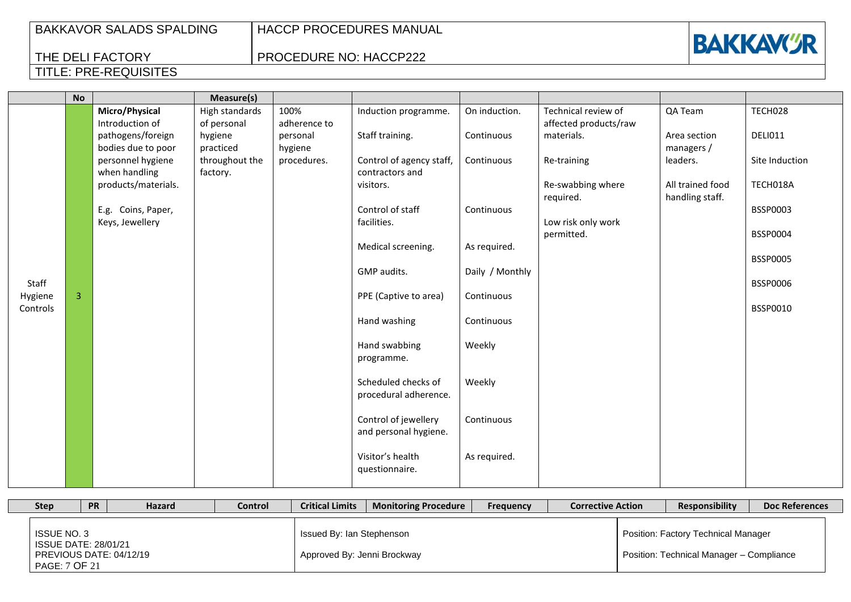PROCEDURE NO: HACCP222



|          | <b>No</b> |                     | Measure(s)     |              |                          |                 |                       |                  |                 |
|----------|-----------|---------------------|----------------|--------------|--------------------------|-----------------|-----------------------|------------------|-----------------|
|          |           | Micro/Physical      | High standards | 100%         | Induction programme.     | On induction.   | Technical review of   | QA Team          | TECH028         |
|          |           | Introduction of     | of personal    | adherence to |                          |                 | affected products/raw |                  |                 |
|          |           | pathogens/foreign   | hygiene        | personal     | Staff training.          | Continuous      | materials.            | Area section     | <b>DELI011</b>  |
|          |           | bodies due to poor  | practiced      | hygiene      |                          |                 |                       | managers /       |                 |
|          |           | personnel hygiene   | throughout the | procedures.  | Control of agency staff, | Continuous      | Re-training           | leaders.         | Site Induction  |
|          |           | when handling       | factory.       |              | contractors and          |                 |                       |                  |                 |
|          |           | products/materials. |                |              | visitors.                |                 | Re-swabbing where     | All trained food | TECH018A        |
|          |           | E.g. Coins, Paper,  |                |              | Control of staff         | Continuous      | required.             | handling staff.  | BSSP0003        |
|          |           | Keys, Jewellery     |                |              | facilities.              |                 | Low risk only work    |                  |                 |
|          |           |                     |                |              |                          |                 | permitted.            |                  | <b>BSSP0004</b> |
|          |           |                     |                |              | Medical screening.       | As required.    |                       |                  |                 |
|          |           |                     |                |              |                          |                 |                       |                  | <b>BSSP0005</b> |
|          |           |                     |                |              | GMP audits.              | Daily / Monthly |                       |                  |                 |
| Staff    |           |                     |                |              |                          |                 |                       |                  | <b>BSSP0006</b> |
| Hygiene  | 3         |                     |                |              | PPE (Captive to area)    | Continuous      |                       |                  |                 |
| Controls |           |                     |                |              |                          |                 |                       |                  | BSSP0010        |
|          |           |                     |                |              | Hand washing             | Continuous      |                       |                  |                 |
|          |           |                     |                |              |                          |                 |                       |                  |                 |
|          |           |                     |                |              | Hand swabbing            | Weekly          |                       |                  |                 |
|          |           |                     |                |              | programme.               |                 |                       |                  |                 |
|          |           |                     |                |              | Scheduled checks of      | Weekly          |                       |                  |                 |
|          |           |                     |                |              | procedural adherence.    |                 |                       |                  |                 |
|          |           |                     |                |              |                          |                 |                       |                  |                 |
|          |           |                     |                |              | Control of jewellery     | Continuous      |                       |                  |                 |
|          |           |                     |                |              | and personal hygiene.    |                 |                       |                  |                 |
|          |           |                     |                |              |                          |                 |                       |                  |                 |
|          |           |                     |                |              | Visitor's health         | As required.    |                       |                  |                 |
|          |           |                     |                |              | questionnaire.           |                 |                       |                  |                 |
|          |           |                     |                |              |                          |                 |                       |                  |                 |

| <b>Step</b>                                                 | <b>PR</b> | <b>Hazard</b>           | Control | <b>Critical Limits</b>                                   | <b>Monitoring Procedure</b> | <b>Frequency</b> | <b>Corrective Action</b> | <b>Responsibility</b>                                                           | <b>Doc References</b> |
|-------------------------------------------------------------|-----------|-------------------------|---------|----------------------------------------------------------|-----------------------------|------------------|--------------------------|---------------------------------------------------------------------------------|-----------------------|
| <b>ISSUE NO. 3</b><br>ISSUE DATE: 28/01/21<br>PAGE: 7 OF 21 |           | PREVIOUS DATE: 04/12/19 |         | Issued By: Ian Stephenson<br>Approved By: Jenni Brockway |                             |                  |                          | Position: Factory Technical Manager<br>Position: Technical Manager - Compliance |                       |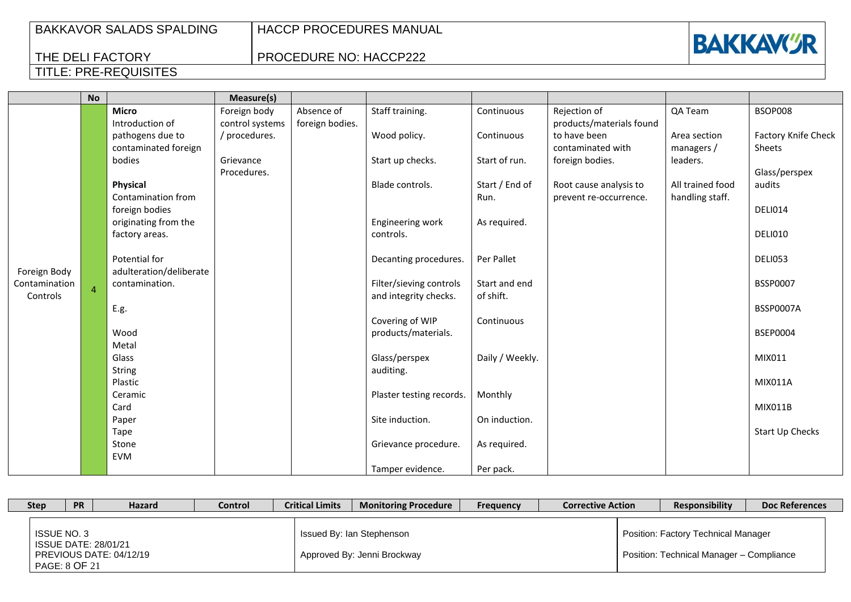| <b>BAKKAVOR SALADS SPALDING</b> |
|---------------------------------|
|---------------------------------|

THE DELI FACTORY

TITLE: PRE-REQUISITES

HACCP PROCEDURES MANUAL

PROCEDURE NO: HACCP222



### **No Measure(s)** Foreign Body Contamination Controls 4 **Micro** Introduction of pathogens due to contaminated foreign bodies **Physical** Contamination from foreign bodies originating from the factory areas. Potential for adulteration/deliberate contamination. E.g. Wood Metal Glass String Plastic Ceramic Card Paper Tape Stone EVM Foreign body control systems / procedures. Grievance Procedures. Absence of foreign bodies. Staff training. Wood policy. Start up checks. Blade controls. Engineering work controls. Decanting procedures. Filter/sieving controls and integrity checks. Covering of WIP products/materials. Glass/perspex auditing. Plaster testing records. Site induction. Grievance procedure. Tamper evidence. Continuous **Continuous** Start of run. Start / End of Run. As required. Per Pallet Start and end of shift. Continuous Daily / Weekly. Monthly On induction. As required. Per pack. Rejection of products/materials found to have been contaminated with foreign bodies. Root cause analysis to prevent re-occurrence. QA Team Area section managers / leaders. All trained food handling staff. BSOP008 Factory Knife Check Sheets Glass/perspex audits DELI014 DELI010 DELI053 BSSP0007 BSSP0007A BSEP0004 MIX011 MIX011A MIX011B Start Up Checks

| <b>Step</b> | <b>PR</b>                    | <b>Hazard</b>                                   | Control | <b>Critical Limits</b> | <b>Monitoring Procedure</b>                              | <b>Frequency</b> | <b>Corrective Action</b> | <b>Responsibility</b>                                                           | <b>Doc References</b> |
|-------------|------------------------------|-------------------------------------------------|---------|------------------------|----------------------------------------------------------|------------------|--------------------------|---------------------------------------------------------------------------------|-----------------------|
|             | ISSUE NO. 3<br>PAGE: 8 OF 21 | ISSUE DATE: 28/01/21<br>PREVIOUS DATE: 04/12/19 |         |                        | Issued By: Ian Stephenson<br>Approved By: Jenni Brockway |                  |                          | Position: Factory Technical Manager<br>Position: Technical Manager - Compliance |                       |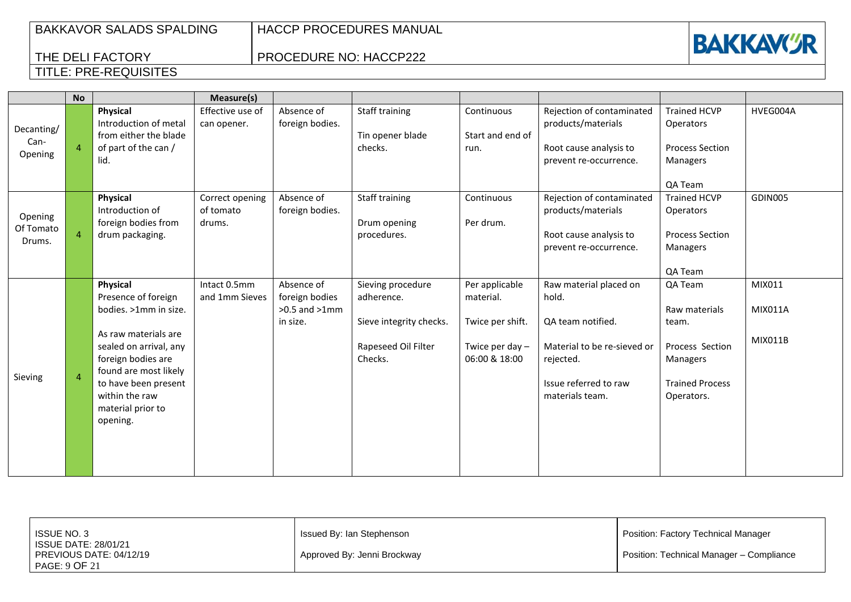THE DELI FACTORY

TITLE: PRE-REQUISITES

HACCP PROCEDURES MANUAL

PROCEDURE NO: HACCP222



#### **No Measure(s)** Decanting/ Can-Opening  $\begin{vmatrix} 4 \end{vmatrix}$ **Physical** Introduction of metal from either the blade of part of the can / lid. Effective use of can opener. Absence of foreign bodies. Staff training Tin opener blade checks. **Continuous** Start and end of run. Rejection of contaminated products/materials Root cause analysis to prevent re-occurrence. Trained HCVP **Operators** Process Section Managers QA Team HVEG004A Opening Of Tomato  $Drums.$   $4$ **Physical** Introduction of foreign bodies from drum packaging. Correct opening of tomato drums. Absence of foreign bodies. Staff training Drum opening procedures. **Continuous** Per drum. Rejection of contaminated products/materials Root cause analysis to prevent re-occurrence. Trained HCVP **Operators** Process Section Managers QA Team GDIN005 Sieving 4 **Physical** Presence of foreign bodies. >1mm in size. As raw materials are sealed on arrival, any foreign bodies are found are most likely to have been present within the raw material prior to opening. Intact 0.5mm and 1mm Sieves Absence of foreign bodies >0.5 and >1mm in size. Sieving procedure adherence. Sieve integrity checks. Rapeseed Oil Filter Checks. Per applicable material. Twice per shift. Twice per day – 06:00 & 18:00 Raw material placed on hold. QA team notified. Material to be re-sieved or rejected. Issue referred to raw materials team. QA Team Raw materials team. Process Section Managers Trained Process Operators. MIX011 MIX011A MIX011B

| ISSUE NO. 3<br><b>ISSUE DATE: 28/01/21</b> | Issued By: Ian Stephenson   | Position: Factory Technical Manager      |
|--------------------------------------------|-----------------------------|------------------------------------------|
| PREVIOUS DATE: 04/12/19<br>PAGE: 9 OF 21   | Approved By: Jenni Brockway | Position: Technical Manager - Compliance |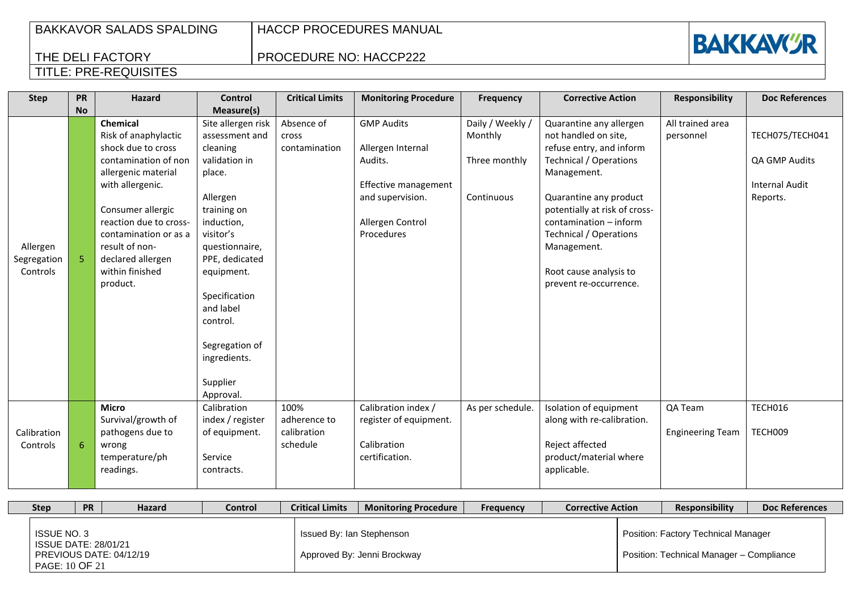HACCP PROCEDURES MANUAL

PROCEDURE NO: HACCP222



| <b>Step</b>                         | <b>PR</b> | <b>Hazard</b>                                                                                                                                         | <b>Control</b>                                                                                                                                                                 | <b>Critical Limits</b>                          | <b>Monitoring Procedure</b>                                                                   | <b>Frequency</b>                                           | <b>Corrective Action</b>                                                                                                                                                               | <b>Responsibility</b>              | <b>Doc References</b>                                                 |
|-------------------------------------|-----------|-------------------------------------------------------------------------------------------------------------------------------------------------------|--------------------------------------------------------------------------------------------------------------------------------------------------------------------------------|-------------------------------------------------|-----------------------------------------------------------------------------------------------|------------------------------------------------------------|----------------------------------------------------------------------------------------------------------------------------------------------------------------------------------------|------------------------------------|-----------------------------------------------------------------------|
|                                     | <b>No</b> | <b>Chemical</b><br>Risk of anaphylactic<br>shock due to cross<br>contamination of non<br>allergenic material<br>with allergenic.<br>Consumer allergic | Measure(s)<br>Site allergen risk<br>assessment and<br>cleaning<br>validation in<br>place.<br>Allergen<br>training on                                                           | Absence of<br>cross<br>contamination            | <b>GMP Audits</b><br>Allergen Internal<br>Audits.<br>Effective management<br>and supervision. | Daily / Weekly /<br>Monthly<br>Three monthly<br>Continuous | Quarantine any allergen<br>not handled on site,<br>refuse entry, and inform<br><b>Technical / Operations</b><br>Management.<br>Quarantine any product<br>potentially at risk of cross- | All trained area<br>personnel      | TECH075/TECH041<br>QA GMP Audits<br><b>Internal Audit</b><br>Reports. |
| Allergen<br>Segregation<br>Controls | 5.        | reaction due to cross-<br>contamination or as a<br>result of non-<br>declared allergen<br>within finished<br>product.                                 | induction,<br>visitor's<br>questionnaire,<br>PPE, dedicated<br>equipment.<br>Specification<br>and label<br>control.<br>Segregation of<br>ingredients.<br>Supplier<br>Approval. |                                                 | Allergen Control<br>Procedures                                                                |                                                            | contamination - inform<br><b>Technical / Operations</b><br>Management.<br>Root cause analysis to<br>prevent re-occurrence.                                                             |                                    |                                                                       |
| Calibration<br>Controls             | 6         | <b>Micro</b><br>Survival/growth of<br>pathogens due to<br>wrong<br>temperature/ph<br>readings.                                                        | Calibration<br>index / register<br>of equipment.<br>Service<br>contracts.                                                                                                      | 100%<br>adherence to<br>calibration<br>schedule | Calibration index /<br>register of equipment.<br>Calibration<br>certification.                | As per schedule.                                           | Isolation of equipment<br>along with re-calibration.<br>Reject affected<br>product/material where<br>applicable.                                                                       | QA Team<br><b>Engineering Team</b> | TECH016<br>TECH009                                                    |

| <b>Step</b> | <b>PR</b>                            |                                                        | <b>Hazard</b> | Control | <b>Critical Limits</b>    | <b>Monitoring Procedure</b> | <b>Frequency</b> | <b>Corrective Action</b> | <b>Responsibility</b>                                                           | Doc References |
|-------------|--------------------------------------|--------------------------------------------------------|---------------|---------|---------------------------|-----------------------------|------------------|--------------------------|---------------------------------------------------------------------------------|----------------|
|             | <b>ISSUE NO. 3</b><br>PAGE: 10 OF 21 | <b>ISSUE DATE: 28/01/21</b><br>PREVIOUS DATE: 04/12/19 |               |         | Issued By: Ian Stephenson | Approved By: Jenni Brockway |                  |                          | Position: Factory Technical Manager<br>Position: Technical Manager - Compliance |                |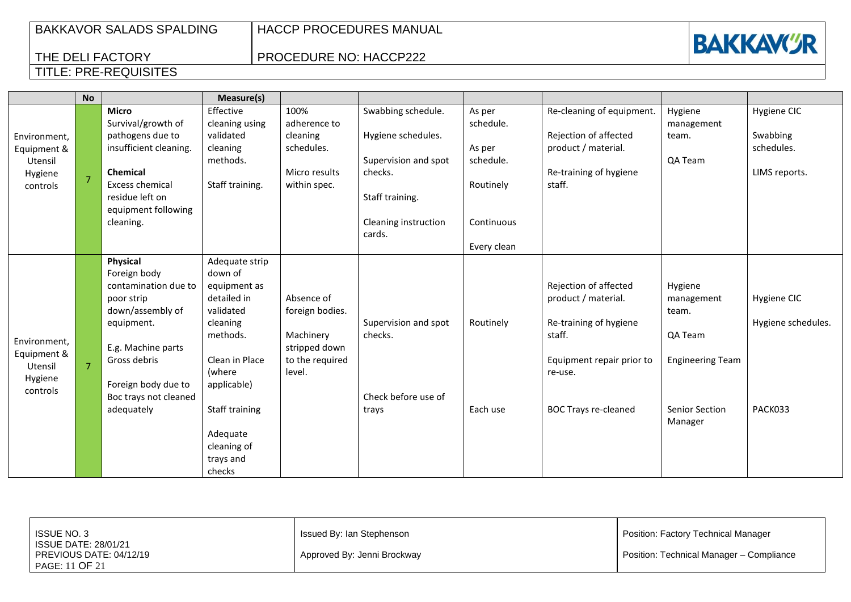THE DELI FACTORY

TITLE: PRE-REQUISITES

HACCP PROCEDURES MANUAL

PROCEDURE NO: HACCP222

|                                               | <b>No</b>      |                                                        | Measure(s)                               |                                            |                                 |                     |                                              |                                |                        |
|-----------------------------------------------|----------------|--------------------------------------------------------|------------------------------------------|--------------------------------------------|---------------------------------|---------------------|----------------------------------------------|--------------------------------|------------------------|
|                                               |                | <b>Micro</b><br>Survival/growth of                     | Effective<br>cleaning using              | 100%<br>adherence to                       | Swabbing schedule.              | As per<br>schedule. | Re-cleaning of equipment.                    | Hygiene<br>management          | Hygiene CIC            |
| Environment,<br>Equipment &                   |                | pathogens due to<br>insufficient cleaning.             | validated<br>cleaning                    | cleaning<br>schedules.                     | Hygiene schedules.              | As per              | Rejection of affected<br>product / material. | team.                          | Swabbing<br>schedules. |
| Utensil                                       |                | <b>Chemical</b>                                        | methods.                                 |                                            | Supervision and spot            | schedule.           |                                              | QA Team                        |                        |
| Hygiene<br>controls                           | $\overline{7}$ | Excess chemical                                        | Staff training.                          | Micro results<br>within spec.              | checks.                         | Routinely           | Re-training of hygiene<br>staff.             |                                | LIMS reports.          |
|                                               |                | residue left on<br>equipment following                 |                                          |                                            | Staff training.                 |                     |                                              |                                |                        |
|                                               |                | cleaning.                                              |                                          |                                            | Cleaning instruction<br>cards.  | Continuous          |                                              |                                |                        |
|                                               |                |                                                        |                                          |                                            |                                 | Every clean         |                                              |                                |                        |
|                                               |                | Physical<br>Foreign body                               | Adequate strip<br>down of                |                                            |                                 |                     |                                              |                                |                        |
|                                               |                | contamination due to<br>poor strip<br>down/assembly of | equipment as<br>detailed in<br>validated | Absence of<br>foreign bodies.              |                                 |                     | Rejection of affected<br>product / material. | Hygiene<br>management<br>team. | Hygiene CIC            |
| Environment,                                  |                | equipment.                                             | cleaning<br>methods.                     | Machinery                                  | Supervision and spot<br>checks. | Routinely           | Re-training of hygiene<br>staff.             | QA Team                        | Hygiene schedules.     |
| Equipment &<br>Utensil<br>Hygiene<br>controls | $\overline{7}$ | E.g. Machine parts<br>Gross debris                     | Clean in Place<br>(where                 | stripped down<br>to the required<br>level. |                                 |                     | Equipment repair prior to<br>re-use.         | <b>Engineering Team</b>        |                        |
|                                               |                | Foreign body due to<br>Boc trays not cleaned           | applicable)                              |                                            | Check before use of             |                     |                                              |                                |                        |
|                                               |                | adequately                                             | Staff training                           |                                            | trays                           | Each use            | <b>BOC Trays re-cleaned</b>                  | Senior Section<br>Manager      | PACK033                |
|                                               |                |                                                        | Adequate                                 |                                            |                                 |                     |                                              |                                |                        |

| ISSUE NO. 3                                                       | Issued By: Ian Stephenson   | Position: Factory Technical Manager      |
|-------------------------------------------------------------------|-----------------------------|------------------------------------------|
| ISSUE DATE: 28/01/21<br>PREVIOUS DATE: 04/12/19<br>PAGE: 11 OF 21 | Approved By: Jenni Brockway | Position: Technical Manager - Compliance |



cleaning of trays and checks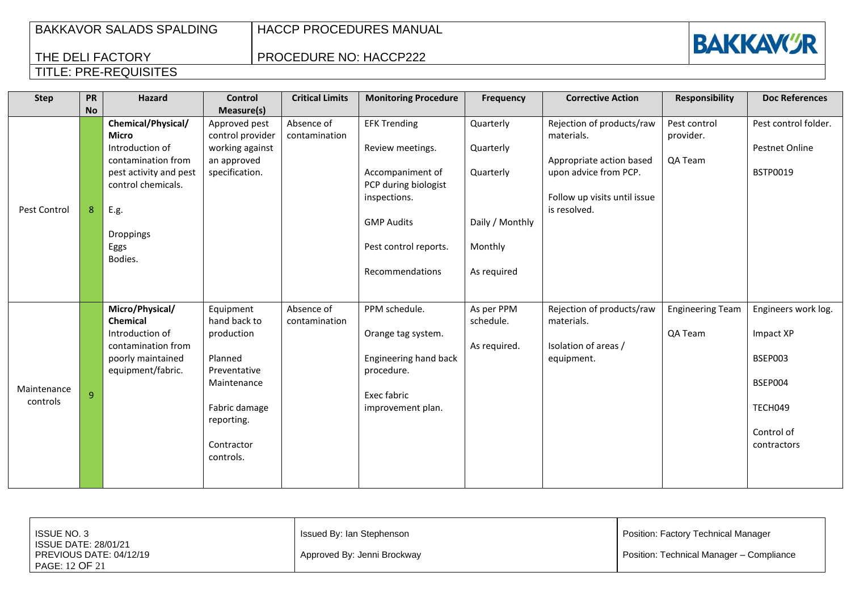THE DELI FACTORY

TITLE: PRE-REQUISITES

HACCP PROCEDURES MANUAL

## PROCEDURE NO: HACCP222



### **Step PR No Hazard Control Measure(s) Critical Limits Monitoring Procedure Frequency Corrective Action Responsibility Doc References** Pest Control | 8 **Chemical/Physical/ Micro** Introduction of contamination from pest activity and pest control chemicals. E.g. Droppings Eggs Bodies. Approved pest control provider working against an approved specification. Absence of contamination EFK Trending Review meetings. Accompaniment of PCP during biologist inspections. GMP Audits Pest control reports. Recommendations Quarterly Quarterly Quarterly Daily / Monthly Monthly As required Rejection of products/raw materials. Appropriate action based upon advice from PCP. Follow up visits until issue is resolved. Pest control provider. QA Team Pest control folder. Pestnet Online BSTP0019 Maintenance  $\frac{1}{2}$  controls  $\frac{1}{2}$ **Micro/Physical/ Chemical** Introduction of contamination from poorly maintained equipment/fabric. Equipment hand back to production Planned Preventative Maintenance Fabric damage reporting. Contractor controls. Absence of contamination PPM schedule. Orange tag system. Engineering hand back procedure. Exec fabric improvement plan. As per PPM schedule. As required. Rejection of products/raw materials. Isolation of areas / equipment. Engineering Team QA Team Engineers work log. Impact XP BSEP003 BSEP004 TECH049 Control of contractors

| ISSUE NO. 3                                                              | Issued By: Ian Stephenson   | Position: Factory Technical Manager      |
|--------------------------------------------------------------------------|-----------------------------|------------------------------------------|
| <b>ISSUE DATE: 28/01/21</b><br>PREVIOUS DATE: 04/12/19<br>PAGE: 12 OF 21 | Approved By: Jenni Brockway | Position: Technical Manager - Compliance |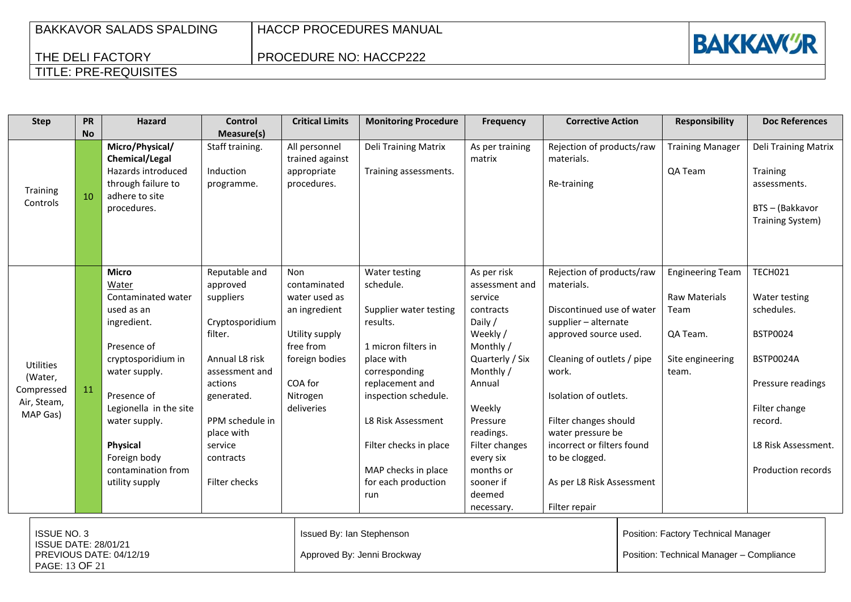| BAKKAVOR SALADS SPALDING |
|--------------------------|
| THE DELI FACTORY         |

## PROCEDURE NO: HACCP222



## TITLE: PRE-REQUISITES

| <b>Step</b>                                                                                    | <b>PR</b><br><b>No</b> | Hazard                                                                                                                                                                                                                                                       | <b>Control</b><br>Measure(s)                                                                                                                                                                                | <b>Critical Limits</b>                                                                                                                      | <b>Monitoring Procedure</b>                                                                                                                                                                                                                                            | Frequency                                                                                                                                                                                                                                               | <b>Corrective Action</b>                                                                                                                                                                                                                                                                                                          |  | <b>Responsibility</b>                                                                     | <b>Doc References</b>                                                                                                                                                       |
|------------------------------------------------------------------------------------------------|------------------------|--------------------------------------------------------------------------------------------------------------------------------------------------------------------------------------------------------------------------------------------------------------|-------------------------------------------------------------------------------------------------------------------------------------------------------------------------------------------------------------|---------------------------------------------------------------------------------------------------------------------------------------------|------------------------------------------------------------------------------------------------------------------------------------------------------------------------------------------------------------------------------------------------------------------------|---------------------------------------------------------------------------------------------------------------------------------------------------------------------------------------------------------------------------------------------------------|-----------------------------------------------------------------------------------------------------------------------------------------------------------------------------------------------------------------------------------------------------------------------------------------------------------------------------------|--|-------------------------------------------------------------------------------------------|-----------------------------------------------------------------------------------------------------------------------------------------------------------------------------|
| Training<br>Controls                                                                           | 10                     | Micro/Physical/<br>Chemical/Legal<br>Hazards introduced<br>through failure to<br>adhere to site<br>procedures.                                                                                                                                               | Staff training.<br>Induction<br>programme.                                                                                                                                                                  | All personnel<br>trained against<br>appropriate<br>procedures.                                                                              | Deli Training Matrix<br>Training assessments.                                                                                                                                                                                                                          | As per training<br>matrix                                                                                                                                                                                                                               | Rejection of products/raw<br>materials.<br>Re-training                                                                                                                                                                                                                                                                            |  | <b>Training Manager</b><br>QA Team                                                        | Deli Training Matrix<br>Training<br>assessments.<br>BTS - (Bakkavor<br>Training System)                                                                                     |
| <b>Utilities</b><br>(Water,<br>Compressed<br>Air, Steam,<br>MAP Gas)                           | 11                     | <b>Micro</b><br>Water<br>Contaminated water<br>used as an<br>ingredient.<br>Presence of<br>cryptosporidium in<br>water supply.<br>Presence of<br>Legionella in the site<br>water supply.<br>Physical<br>Foreign body<br>contamination from<br>utility supply | Reputable and<br>approved<br>suppliers<br>Cryptosporidium<br>filter.<br>Annual L8 risk<br>assessment and<br>actions<br>generated.<br>PPM schedule in<br>place with<br>service<br>contracts<br>Filter checks | Non<br>contaminated<br>water used as<br>an ingredient<br>Utility supply<br>free from<br>foreign bodies<br>COA for<br>Nitrogen<br>deliveries | Water testing<br>schedule.<br>Supplier water testing<br>results.<br>1 micron filters in<br>place with<br>corresponding<br>replacement and<br>inspection schedule.<br>L8 Risk Assessment<br>Filter checks in place<br>MAP checks in place<br>for each production<br>run | As per risk<br>assessment and<br>service<br>contracts<br>Daily /<br>Weekly /<br>Monthly /<br>Quarterly / Six<br>Monthly /<br>Annual<br>Weekly<br>Pressure<br>readings.<br>Filter changes<br>every six<br>months or<br>sooner if<br>deemed<br>necessary. | Rejection of products/raw<br>materials.<br>Discontinued use of water<br>supplier - alternate<br>approved source used.<br>Cleaning of outlets / pipe<br>work.<br>Isolation of outlets.<br>Filter changes should<br>water pressure be<br>incorrect or filters found<br>to be clogged.<br>As per L8 Risk Assessment<br>Filter repair |  | <b>Engineering Team</b><br>Raw Materials<br>Team<br>QA Team.<br>Site engineering<br>team. | TECH021<br>Water testing<br>schedules.<br><b>BSTP0024</b><br><b>BSTP0024A</b><br>Pressure readings<br>Filter change<br>record.<br>L8 Risk Assessment.<br>Production records |
| <b>ISSUE NO. 3</b><br><b>ISSUE DATE: 28/01/21</b><br>PREVIOUS DATE: 04/12/19<br>PAGE: 13 OF 21 |                        |                                                                                                                                                                                                                                                              |                                                                                                                                                                                                             | Issued By: Ian Stephenson<br>Approved By: Jenni Brockway                                                                                    |                                                                                                                                                                                                                                                                        |                                                                                                                                                                                                                                                         | Position: Factory Technical Manager<br>Position: Technical Manager - Compliance                                                                                                                                                                                                                                                   |  |                                                                                           |                                                                                                                                                                             |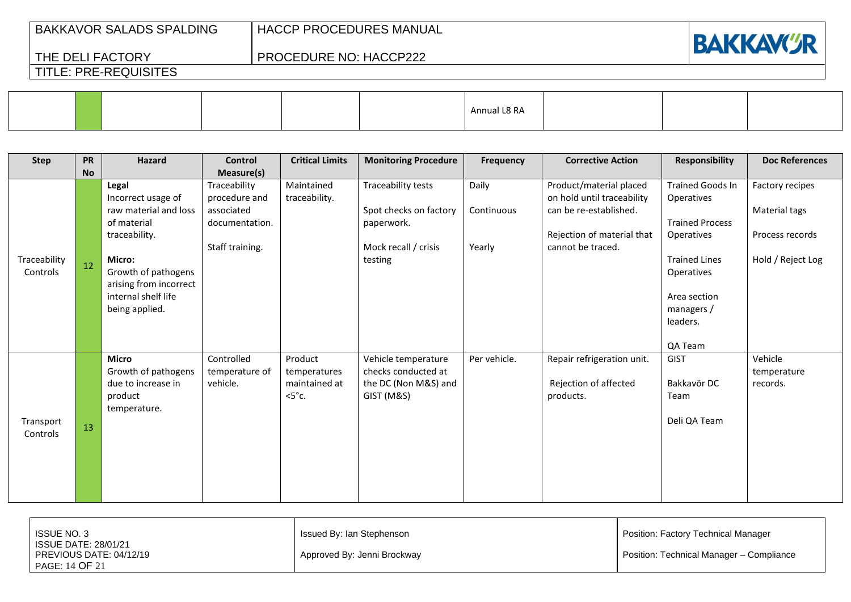HACCP PROCEDURES MANUAL

PROCEDURE NO: HACCP222



## TITLE: PRE-REQUISITES

THE DELI FACTORY

|  |  | Annual L8 RA |  |  |
|--|--|--------------|--|--|
|  |  |              |  |  |

| <b>Step</b>              | <b>PR</b> | <b>Hazard</b>                                                                                                                                                                            | <b>Control</b>                                                                   | <b>Critical Limits</b>                                      | <b>Monitoring Procedure</b>                                                                   | <b>Frequency</b>              | <b>Corrective Action</b>                                                                                                           | <b>Responsibility</b>                                                                                                                                                    | <b>Doc References</b>                                                    |
|--------------------------|-----------|------------------------------------------------------------------------------------------------------------------------------------------------------------------------------------------|----------------------------------------------------------------------------------|-------------------------------------------------------------|-----------------------------------------------------------------------------------------------|-------------------------------|------------------------------------------------------------------------------------------------------------------------------------|--------------------------------------------------------------------------------------------------------------------------------------------------------------------------|--------------------------------------------------------------------------|
|                          | <b>No</b> |                                                                                                                                                                                          | Measure(s)                                                                       |                                                             |                                                                                               |                               |                                                                                                                                    |                                                                                                                                                                          |                                                                          |
| Traceability<br>Controls | 12        | Legal<br>Incorrect usage of<br>raw material and loss<br>of material<br>traceability.<br>Micro:<br>Growth of pathogens<br>arising from incorrect<br>internal shelf life<br>being applied. | Traceability<br>procedure and<br>associated<br>documentation.<br>Staff training. | Maintained<br>traceability.                                 | Traceability tests<br>Spot checks on factory<br>paperwork.<br>Mock recall / crisis<br>testing | Daily<br>Continuous<br>Yearly | Product/material placed<br>on hold until traceability<br>can be re-established.<br>Rejection of material that<br>cannot be traced. | Trained Goods In<br><b>Operatives</b><br><b>Trained Process</b><br>Operatives<br><b>Trained Lines</b><br>Operatives<br>Area section<br>managers /<br>leaders.<br>QA Team | Factory recipes<br>Material tags<br>Process records<br>Hold / Reject Log |
| Transport<br>Controls    | 13        | <b>Micro</b><br>Growth of pathogens<br>due to increase in<br>product<br>temperature.                                                                                                     | Controlled<br>temperature of<br>vehicle.                                         | Product<br>temperatures<br>maintained at<br>$<5^{\circ}$ c. | Vehicle temperature<br>checks conducted at<br>the DC (Non M&S) and<br>GIST (M&S)              | Per vehicle.                  | Repair refrigeration unit.<br>Rejection of affected<br>products.                                                                   | <b>GIST</b><br>Bakkavör DC<br>Team<br>Deli QA Team                                                                                                                       | Vehicle<br>temperature<br>records.                                       |

| <b>ISSUE NO. 3</b>      | Issued By: Ian Stephenson   | Position: Factory Technical Manager      |
|-------------------------|-----------------------------|------------------------------------------|
| ISSUE DATE: 28/01/21    |                             |                                          |
| PREVIOUS DATE: 04/12/19 | Approved By: Jenni Brockway | Position: Technical Manager - Compliance |
| PAGE: 14 OF 21          |                             |                                          |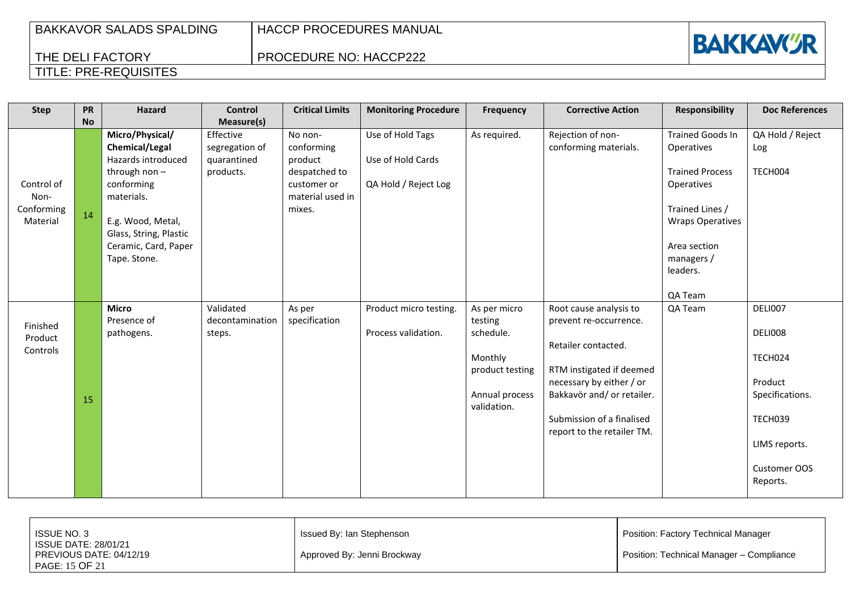## PROCEDURE NO: HACCP222



| <b>Step</b>                                  | <b>PR</b> | <b>Hazard</b>                                                                                                                                                                                 | <b>Control</b>                                          | <b>Critical Limits</b>                                                                         | <b>Monitoring Procedure</b>                                   | <b>Frequency</b>                                                                                    | <b>Corrective Action</b>                                                                                                                                                                                                 | <b>Responsibility</b>                                                                                                                                                                   | <b>Doc References</b>                                                                                               |
|----------------------------------------------|-----------|-----------------------------------------------------------------------------------------------------------------------------------------------------------------------------------------------|---------------------------------------------------------|------------------------------------------------------------------------------------------------|---------------------------------------------------------------|-----------------------------------------------------------------------------------------------------|--------------------------------------------------------------------------------------------------------------------------------------------------------------------------------------------------------------------------|-----------------------------------------------------------------------------------------------------------------------------------------------------------------------------------------|---------------------------------------------------------------------------------------------------------------------|
|                                              | <b>No</b> |                                                                                                                                                                                               | Measure(s)                                              |                                                                                                |                                                               |                                                                                                     |                                                                                                                                                                                                                          |                                                                                                                                                                                         |                                                                                                                     |
| Control of<br>Non-<br>Conforming<br>Material | 14        | Micro/Physical/<br>Chemical/Legal<br>Hazards introduced<br>through non $-$<br>conforming<br>materials.<br>E.g. Wood, Metal,<br>Glass, String, Plastic<br>Ceramic, Card, Paper<br>Tape. Stone. | Effective<br>segregation of<br>quarantined<br>products. | No non-<br>conforming<br>product<br>despatched to<br>customer or<br>material used in<br>mixes. | Use of Hold Tags<br>Use of Hold Cards<br>QA Hold / Reject Log | As required.                                                                                        | Rejection of non-<br>conforming materials.                                                                                                                                                                               | <b>Trained Goods In</b><br><b>Operatives</b><br><b>Trained Process</b><br>Operatives<br>Trained Lines /<br><b>Wraps Operatives</b><br>Area section<br>managers /<br>leaders.<br>QA Team | QA Hold / Reject<br>Log<br>TECH004                                                                                  |
| Finished<br>Product<br>Controls              | 15        | <b>Micro</b><br>Presence of<br>pathogens.                                                                                                                                                     | Validated<br>decontamination<br>steps.                  | As per<br>specification                                                                        | Product micro testing.<br>Process validation.                 | As per micro<br>testing<br>schedule.<br>Monthly<br>product testing<br>Annual process<br>validation. | Root cause analysis to<br>prevent re-occurrence.<br>Retailer contacted.<br>RTM instigated if deemed<br>necessary by either / or<br>Bakkavör and/ or retailer.<br>Submission of a finalised<br>report to the retailer TM. | QA Team                                                                                                                                                                                 | DELI007<br>DELI008<br>TECH024<br>Product<br>Specifications.<br>TECH039<br>LIMS reports.<br>Customer OOS<br>Reports. |

| <b>ISSUE NO. 3</b>                                                  | Issued By: Ian Stephenson   | <b>Position: Factory Technical Manager</b> |
|---------------------------------------------------------------------|-----------------------------|--------------------------------------------|
| I ISSUE DATE: 28/01/21<br>PREVIOUS DATE: 04/12/19<br>PAGE: 15 OF 21 | Approved By: Jenni Brockway | Position: Technical Manager - Compliance   |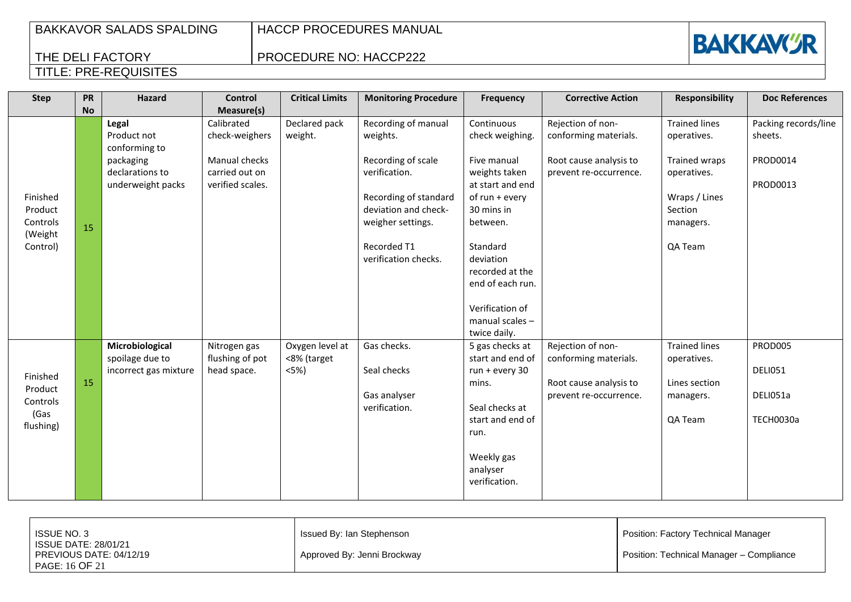HACCP PROCEDURES MANUAL

PROCEDURE NO: HACCP222



| <b>Step</b>                                            | <b>PR</b><br><b>No</b> | <b>Hazard</b>                                                                              | <b>Control</b><br>Measure(s)                                                        | <b>Critical Limits</b>                    | <b>Monitoring Procedure</b>                                                                                                                                                         | <b>Frequency</b>                                                                                                                                                                                                                    | <b>Corrective Action</b>                                                                       | <b>Responsibility</b>                                                                                                   | <b>Doc References</b>                                   |
|--------------------------------------------------------|------------------------|--------------------------------------------------------------------------------------------|-------------------------------------------------------------------------------------|-------------------------------------------|-------------------------------------------------------------------------------------------------------------------------------------------------------------------------------------|-------------------------------------------------------------------------------------------------------------------------------------------------------------------------------------------------------------------------------------|------------------------------------------------------------------------------------------------|-------------------------------------------------------------------------------------------------------------------------|---------------------------------------------------------|
| Finished<br>Product<br>Controls<br>(Weight<br>Control) | 15                     | Legal<br>Product not<br>conforming to<br>packaging<br>declarations to<br>underweight packs | Calibrated<br>check-weighers<br>Manual checks<br>carried out on<br>verified scales. | Declared pack<br>weight.                  | Recording of manual<br>weights.<br>Recording of scale<br>verification.<br>Recording of standard<br>deviation and check-<br>weigher settings.<br>Recorded T1<br>verification checks. | Continuous<br>check weighing.<br>Five manual<br>weights taken<br>at start and end<br>of run + every<br>30 mins in<br>between.<br>Standard<br>deviation<br>recorded at the<br>end of each run.<br>Verification of<br>manual scales - | Rejection of non-<br>conforming materials.<br>Root cause analysis to<br>prevent re-occurrence. | <b>Trained lines</b><br>operatives.<br>Trained wraps<br>operatives.<br>Wraps / Lines<br>Section<br>managers.<br>QA Team | Packing records/line<br>sheets.<br>PROD0014<br>PROD0013 |
| Finished<br>Product<br>Controls<br>(Gas<br>flushing)   | 15                     | Microbiological<br>spoilage due to<br>incorrect gas mixture                                | Nitrogen gas<br>flushing of pot<br>head space.                                      | Oxygen level at<br><8% (target<br>$<5%$ ) | Gas checks.<br>Seal checks<br>Gas analyser<br>verification.                                                                                                                         | twice daily.<br>5 gas checks at<br>start and end of<br>run + every 30<br>mins.<br>Seal checks at<br>start and end of<br>run.<br>Weekly gas<br>analyser<br>verification.                                                             | Rejection of non-<br>conforming materials.<br>Root cause analysis to<br>prevent re-occurrence. | <b>Trained lines</b><br>operatives.<br>Lines section<br>managers.<br>QA Team                                            | PROD005<br>DELI051<br>DELI051a<br>TECH0030a             |

| <b>ISSUE NO. 3</b>                                                | Issued By: Ian Stephenson   | Position: Factory Technical Manager      |
|-------------------------------------------------------------------|-----------------------------|------------------------------------------|
| ISSUE DATE: 28/01/21<br>PREVIOUS DATE: 04/12/19<br>PAGE: 16 OF 21 | Approved By: Jenni Brockway | Position: Technical Manager - Compliance |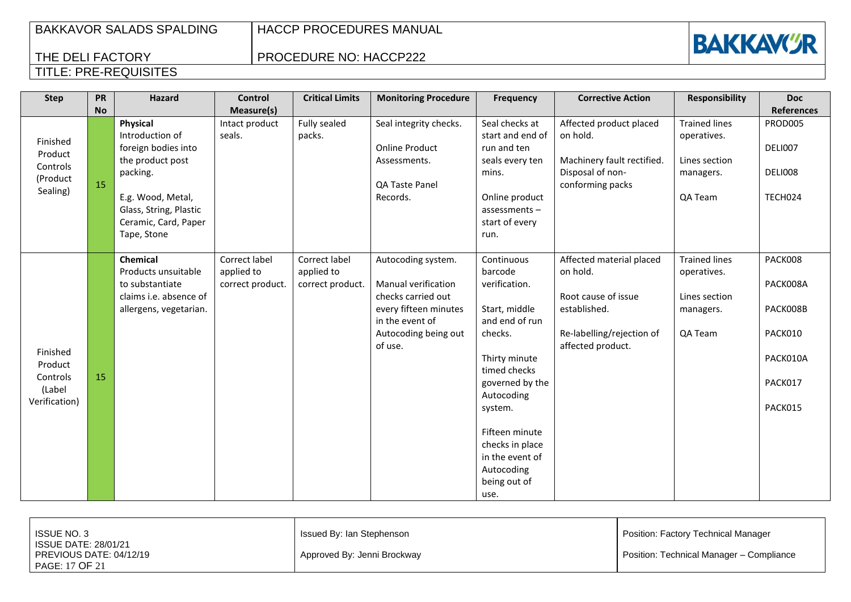PROCEDURE NO: HACCP222



| <b>Step</b>                                                | PR<br><b>No</b> | <b>Hazard</b>                                                                                                                                                            | Control<br>Measure(s)                           | <b>Critical Limits</b>                          | <b>Monitoring Procedure</b>                                                                                                                    | Frequency                                                                                                                                                                                                                                                       | <b>Corrective Action</b>                                                                                                      | <b>Responsibility</b>                                                        | <b>Doc</b><br><b>References</b>                                              |
|------------------------------------------------------------|-----------------|--------------------------------------------------------------------------------------------------------------------------------------------------------------------------|-------------------------------------------------|-------------------------------------------------|------------------------------------------------------------------------------------------------------------------------------------------------|-----------------------------------------------------------------------------------------------------------------------------------------------------------------------------------------------------------------------------------------------------------------|-------------------------------------------------------------------------------------------------------------------------------|------------------------------------------------------------------------------|------------------------------------------------------------------------------|
| Finished<br>Product<br>Controls<br>(Product<br>Sealing)    | 15              | Physical<br>Introduction of<br>foreign bodies into<br>the product post<br>packing.<br>E.g. Wood, Metal,<br>Glass, String, Plastic<br>Ceramic, Card, Paper<br>Tape, Stone | Intact product<br>seals.                        | Fully sealed<br>packs.                          | Seal integrity checks.<br><b>Online Product</b><br>Assessments.<br>QA Taste Panel<br>Records.                                                  | Seal checks at<br>start and end of<br>run and ten<br>seals every ten<br>mins.<br>Online product<br>$assessments -$<br>start of every<br>run.                                                                                                                    | Affected product placed<br>on hold.<br>Machinery fault rectified.<br>Disposal of non-<br>conforming packs                     | <b>Trained lines</b><br>operatives.<br>Lines section<br>managers.<br>QA Team | PROD005<br>DELI007<br>DELI008<br>TECH024                                     |
| Finished<br>Product<br>Controls<br>(Label<br>Verification) | 15              | Chemical<br>Products unsuitable<br>to substantiate<br>claims i.e. absence of<br>allergens, vegetarian.                                                                   | Correct label<br>applied to<br>correct product. | Correct label<br>applied to<br>correct product. | Autocoding system.<br>Manual verification<br>checks carried out<br>every fifteen minutes<br>in the event of<br>Autocoding being out<br>of use. | Continuous<br>barcode<br>verification.<br>Start, middle<br>and end of run<br>checks.<br>Thirty minute<br>timed checks<br>governed by the<br>Autocoding<br>system.<br>Fifteen minute<br>checks in place<br>in the event of<br>Autocoding<br>being out of<br>use. | Affected material placed<br>on hold.<br>Root cause of issue<br>established.<br>Re-labelling/rejection of<br>affected product. | <b>Trained lines</b><br>operatives.<br>Lines section<br>managers.<br>QA Team | PACK008<br>PACK008A<br>PACK008B<br>PACK010<br>PACK010A<br>PACK017<br>PACK015 |

| <b>ISSUE NO. 3</b>                                                | Issued By: Ian Stephenson   | Position: Factory Technical Manager      |
|-------------------------------------------------------------------|-----------------------------|------------------------------------------|
| ISSUE DATE: 28/01/21<br>PREVIOUS DATE: 04/12/19<br>PAGE: 17 OF 21 | Approved By: Jenni Brockway | Position: Technical Manager - Compliance |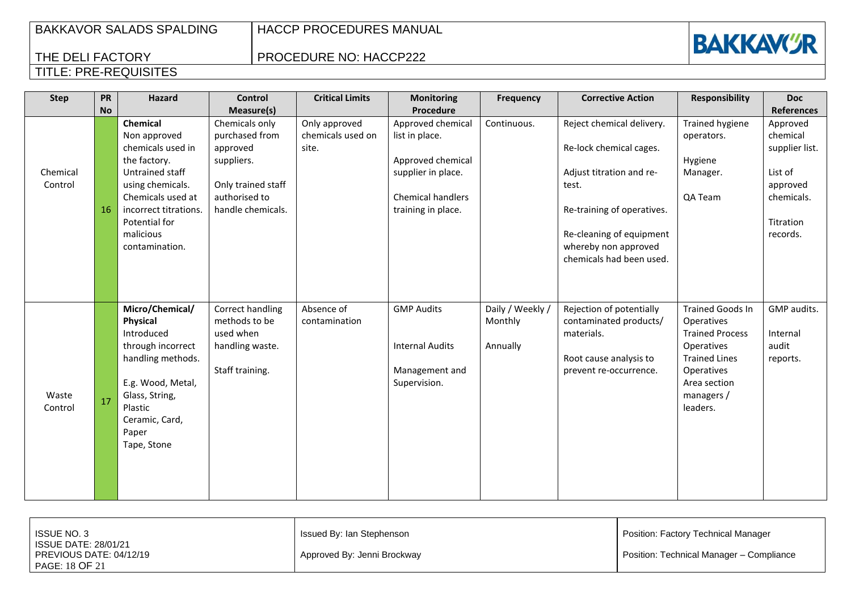HACCP PROCEDURES MANUAL

PROCEDURE NO: HACCP222



| <b>Step</b>         | PR<br><b>No</b> | <b>Hazard</b>                                                                                                                                                                                      | <b>Control</b><br>Measure(s)                                                                                           | <b>Critical Limits</b>                      | <b>Monitoring</b><br>Procedure                                                                                                   | Frequency                               | <b>Corrective Action</b>                                                                                                                                                                                | <b>Responsibility</b>                                                                                                                                         | <b>Doc</b><br><b>References</b>                                                                      |
|---------------------|-----------------|----------------------------------------------------------------------------------------------------------------------------------------------------------------------------------------------------|------------------------------------------------------------------------------------------------------------------------|---------------------------------------------|----------------------------------------------------------------------------------------------------------------------------------|-----------------------------------------|---------------------------------------------------------------------------------------------------------------------------------------------------------------------------------------------------------|---------------------------------------------------------------------------------------------------------------------------------------------------------------|------------------------------------------------------------------------------------------------------|
| Chemical<br>Control | 16              | Chemical<br>Non approved<br>chemicals used in<br>the factory.<br>Untrained staff<br>using chemicals.<br>Chemicals used at<br>incorrect titrations.<br>Potential for<br>malicious<br>contamination. | Chemicals only<br>purchased from<br>approved<br>suppliers.<br>Only trained staff<br>authorised to<br>handle chemicals. | Only approved<br>chemicals used on<br>site. | Approved chemical<br>list in place.<br>Approved chemical<br>supplier in place.<br><b>Chemical handlers</b><br>training in place. | Continuous.                             | Reject chemical delivery.<br>Re-lock chemical cages.<br>Adjust titration and re-<br>test.<br>Re-training of operatives.<br>Re-cleaning of equipment<br>whereby non approved<br>chemicals had been used. | <b>Trained hygiene</b><br>operators.<br>Hygiene<br>Manager.<br>QA Team                                                                                        | Approved<br>chemical<br>supplier list.<br>List of<br>approved<br>chemicals.<br>Titration<br>records. |
| Waste<br>Control    | 17              | Micro/Chemical/<br>Physical<br>Introduced<br>through incorrect<br>handling methods.<br>E.g. Wood, Metal,<br>Glass, String,<br>Plastic<br>Ceramic, Card,<br>Paper<br>Tape, Stone                    | Correct handling<br>methods to be<br>used when<br>handling waste.<br>Staff training.                                   | Absence of<br>contamination                 | <b>GMP Audits</b><br><b>Internal Audits</b><br>Management and<br>Supervision.                                                    | Daily / Weekly /<br>Monthly<br>Annually | Rejection of potentially<br>contaminated products/<br>materials.<br>Root cause analysis to<br>prevent re-occurrence.                                                                                    | <b>Trained Goods In</b><br>Operatives<br><b>Trained Process</b><br>Operatives<br><b>Trained Lines</b><br>Operatives<br>Area section<br>managers /<br>leaders. | GMP audits.<br>Internal<br>audit<br>reports.                                                         |

| <b>ISSUE NO. 3</b><br><b>ISSUE DATE: 28/01/21</b> | Issued By: Ian Stephenson   | Position: Factory Technical Manager      |
|---------------------------------------------------|-----------------------------|------------------------------------------|
| PREVIOUS DATE: 04/12/19<br>PAGE: 18 OF 21         | Approved By: Jenni Brockway | Position: Technical Manager - Compliance |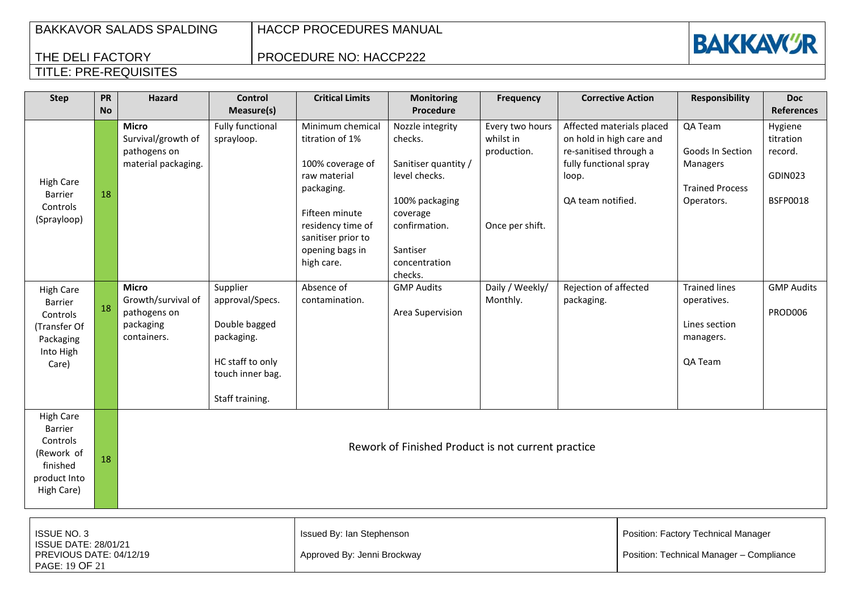HACCP PROCEDURES MANUAL

Approved By: Jenni Brockway

# **BAKKAVI''R**

Position: Technical Manager – Compliance

## THE DELI FACTORY TITLE: PRE-REQUISITES

ISSUE DATE: 28/01/21 PREVIOUS DATE: 04/12/19

PAGE: 19 OF 21

### PROCEDURE NO: HACCP222

| <b>Step</b>                                                                                     | PR<br><b>No</b> | <b>Hazard</b>                                                                  | <b>Control</b><br>Measure(s)                                                                                          | <b>Critical Limits</b>                                                                                                                                                              | <b>Monitoring</b><br>Procedure                                                                                                                              | Frequency                                                      | <b>Corrective Action</b>                                                                                                                |  | <b>Responsibility</b>                                                           | <b>Doc</b><br><b>References</b>                               |
|-------------------------------------------------------------------------------------------------|-----------------|--------------------------------------------------------------------------------|-----------------------------------------------------------------------------------------------------------------------|-------------------------------------------------------------------------------------------------------------------------------------------------------------------------------------|-------------------------------------------------------------------------------------------------------------------------------------------------------------|----------------------------------------------------------------|-----------------------------------------------------------------------------------------------------------------------------------------|--|---------------------------------------------------------------------------------|---------------------------------------------------------------|
| <b>High Care</b><br><b>Barrier</b><br>Controls<br>(Sprayloop)                                   | 18              | <b>Micro</b><br>Survival/growth of<br>pathogens on<br>material packaging.      | <b>Fully functional</b><br>sprayloop.                                                                                 | Minimum chemical<br>titration of 1%<br>100% coverage of<br>raw material<br>packaging.<br>Fifteen minute<br>residency time of<br>sanitiser prior to<br>opening bags in<br>high care. | Nozzle integrity<br>checks.<br>Sanitiser quantity /<br>level checks.<br>100% packaging<br>coverage<br>confirmation.<br>Santiser<br>concentration<br>checks. | Every two hours<br>whilst in<br>production.<br>Once per shift. | Affected materials placed<br>on hold in high care and<br>re-sanitised through a<br>fully functional spray<br>loop.<br>QA team notified. |  | QA Team<br>Goods In Section<br>Managers<br><b>Trained Process</b><br>Operators. | Hygiene<br>titration<br>record.<br>GDIN023<br><b>BSFP0018</b> |
| <b>High Care</b><br>Barrier<br>Controls<br>(Transfer Of<br>Packaging<br>Into High<br>Care)      | 18              | <b>Micro</b><br>Growth/survival of<br>pathogens on<br>packaging<br>containers. | Supplier<br>approval/Specs.<br>Double bagged<br>packaging.<br>HC staff to only<br>touch inner bag.<br>Staff training. | Absence of<br>contamination.                                                                                                                                                        | <b>GMP Audits</b><br>Area Supervision                                                                                                                       | Daily / Weekly/<br>Monthly.                                    | Rejection of affected<br>packaging.                                                                                                     |  | <b>Trained lines</b><br>operatives.<br>Lines section<br>managers.<br>QA Team    | <b>GMP Audits</b><br>PROD006                                  |
| <b>High Care</b><br>Barrier<br>Controls<br>(Rework of<br>finished<br>product Into<br>High Care) | 18              | Rework of Finished Product is not current practice                             |                                                                                                                       |                                                                                                                                                                                     |                                                                                                                                                             |                                                                |                                                                                                                                         |  |                                                                                 |                                                               |
| <b>ISSUE NO. 3</b>                                                                              |                 |                                                                                |                                                                                                                       | Issued By: Ian Stephenson                                                                                                                                                           |                                                                                                                                                             |                                                                |                                                                                                                                         |  | Position: Factory Technical Manager                                             |                                                               |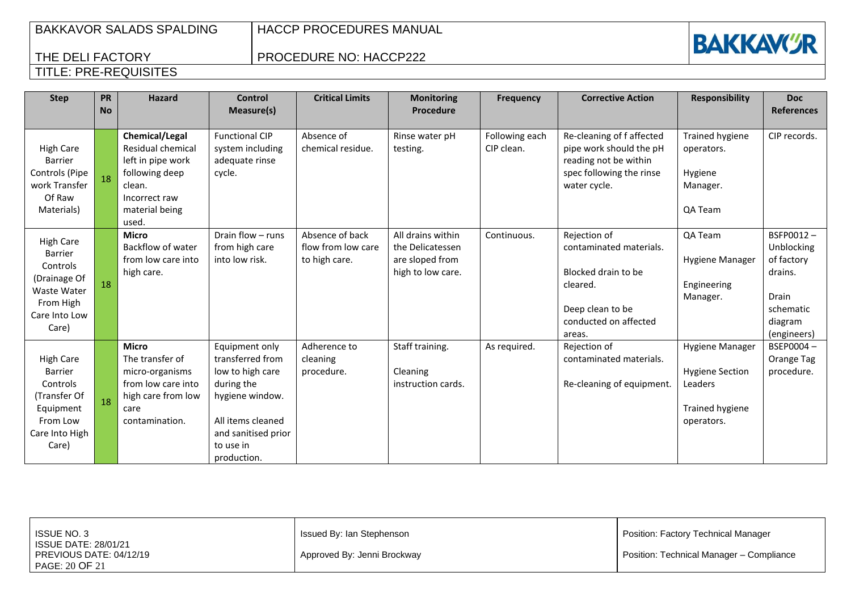**BAKKAVGR** 

## THE DELI FACTORY TITLE: PRE-REQUISITES

## PROCEDURE NO: HACCP222

| <b>Step</b>                                                                                                          | PR<br><b>No</b> | <b>Hazard</b>                                                                                                                    | <b>Control</b><br>Measure(s)                                                                                                                                    | <b>Critical Limits</b>                                 | <b>Monitoring</b><br><b>Procedure</b>                                         | <b>Frequency</b>             | <b>Corrective Action</b>                                                                                                          | <b>Responsibility</b>                                                                               | <b>Doc</b><br><b>References</b>                                                                  |
|----------------------------------------------------------------------------------------------------------------------|-----------------|----------------------------------------------------------------------------------------------------------------------------------|-----------------------------------------------------------------------------------------------------------------------------------------------------------------|--------------------------------------------------------|-------------------------------------------------------------------------------|------------------------------|-----------------------------------------------------------------------------------------------------------------------------------|-----------------------------------------------------------------------------------------------------|--------------------------------------------------------------------------------------------------|
| <b>High Care</b><br><b>Barrier</b><br>Controls (Pipe<br>work Transfer<br>Of Raw<br>Materials)                        |                 | Chemical/Legal<br>Residual chemical<br>left in pipe work<br>following deep<br>clean.<br>Incorrect raw<br>material being<br>used. | <b>Functional CIP</b><br>system including<br>adequate rinse<br>cycle.                                                                                           | Absence of<br>chemical residue.                        | Rinse water pH<br>testing.                                                    | Following each<br>CIP clean. | Re-cleaning of f affected<br>pipe work should the pH<br>reading not be within<br>spec following the rinse<br>water cycle.         | <b>Trained hygiene</b><br>operators.<br>Hygiene<br>Manager.<br>QA Team                              | CIP records.                                                                                     |
| <b>High Care</b><br><b>Barrier</b><br>Controls<br>(Drainage Of<br>Waste Water<br>From High<br>Care Into Low<br>Care) | 18              | <b>Micro</b><br>Backflow of water<br>from low care into<br>high care.                                                            | Drain flow - runs<br>from high care<br>into low risk.                                                                                                           | Absence of back<br>flow from low care<br>to high care. | All drains within<br>the Delicatessen<br>are sloped from<br>high to low care. | Continuous.                  | Rejection of<br>contaminated materials.<br>Blocked drain to be<br>cleared.<br>Deep clean to be<br>conducted on affected<br>areas. | QA Team<br><b>Hygiene Manager</b><br>Engineering<br>Manager.                                        | BSFP0012-<br>Unblocking<br>of factory<br>drains.<br>Drain<br>schematic<br>diagram<br>(engineers) |
| <b>High Care</b><br><b>Barrier</b><br>Controls<br>(Transfer Of<br>Equipment<br>From Low<br>Care Into High<br>Care)   |                 | <b>Micro</b><br>The transfer of<br>micro-organisms<br>from low care into<br>high care from low<br>care<br>contamination.         | Equipment only<br>transferred from<br>low to high care<br>during the<br>hygiene window.<br>All items cleaned<br>and sanitised prior<br>to use in<br>production. | Adherence to<br>cleaning<br>procedure.                 | Staff training.<br>Cleaning<br>instruction cards.                             | As required.                 | Rejection of<br>contaminated materials.<br>Re-cleaning of equipment.                                                              | <b>Hygiene Manager</b><br><b>Hygiene Section</b><br>Leaders<br><b>Trained hygiene</b><br>operators. | BSEP0004-<br>Orange Tag<br>procedure.                                                            |

| ISSUE NO. 3<br>ISSUE DATE: 28/01/21<br>PREVIOUS DATE: 04/12/19 | Issued By: Ian Stephenson<br>Approved By: Jenni Brockway | Position: Factory Technical Manager<br>Position: Technical Manager - Compliance |
|----------------------------------------------------------------|----------------------------------------------------------|---------------------------------------------------------------------------------|
| PAGE: 20 OF 21                                                 |                                                          |                                                                                 |